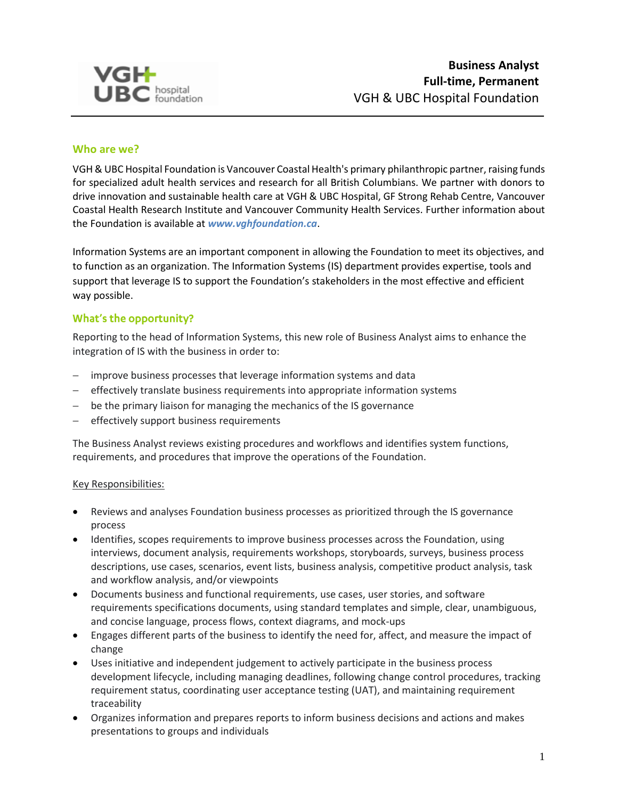

### **Who are we?**

VGH & UBC Hospital Foundation is Vancouver Coastal Health's primary philanthropic partner, raising funds for specialized adult health services and research for all British Columbians. We partner with donors to drive innovation and sustainable health care at VGH & UBC Hospital, GF Strong Rehab Centre, Vancouver Coastal Health Research Institute and Vancouver Community Health Services. Further information about the Foundation is available at *[www.vghfoundation.ca](http://www.vghfoundation.ca/)*.

Information Systems are an important component in allowing the Foundation to meet its objectives, and to function as an organization. The Information Systems (IS) department provides expertise, tools and support that leverage IS to support the Foundation's stakeholders in the most effective and efficient way possible.

### What's the opportunity?

Reporting to the head of Information Systems, this new role of Business Analyst aims to enhance the integration of IS with the business in order to:

- improve business processes that leverage information systems and data
- effectively translate business requirements into appropriate information systems
- be the primary liaison for managing the mechanics of the IS governance
- effectively support business requirements

The Business Analyst reviews existing procedures and workflows and identifies system functions, requirements, and procedures that improve the operations of the Foundation.

### Key Responsibilities:

- Reviews and analyses Foundation business processes as prioritized through the IS governance process
- Identifies, scopes requirements to improve business processes across the Foundation, using interviews, document analysis, requirements workshops, storyboards, surveys, business process descriptions, use cases, scenarios, event lists, business analysis, competitive product analysis, task and workflow analysis, and/or viewpoints
- Documents business and functional requirements, use cases, user stories, and software requirements specifications documents, using standard templates and simple, clear, unambiguous, and concise language, process flows, context diagrams, and mock-ups
- Engages different parts of the business to identify the need for, affect, and measure the impact of change
- Uses initiative and independent judgement to actively participate in the business process development lifecycle, including managing deadlines, following change control procedures, tracking requirement status, coordinating user acceptance testing (UAT), and maintaining requirement traceability
- Organizes information and prepares reports to inform business decisions and actions and makes presentations to groups and individuals